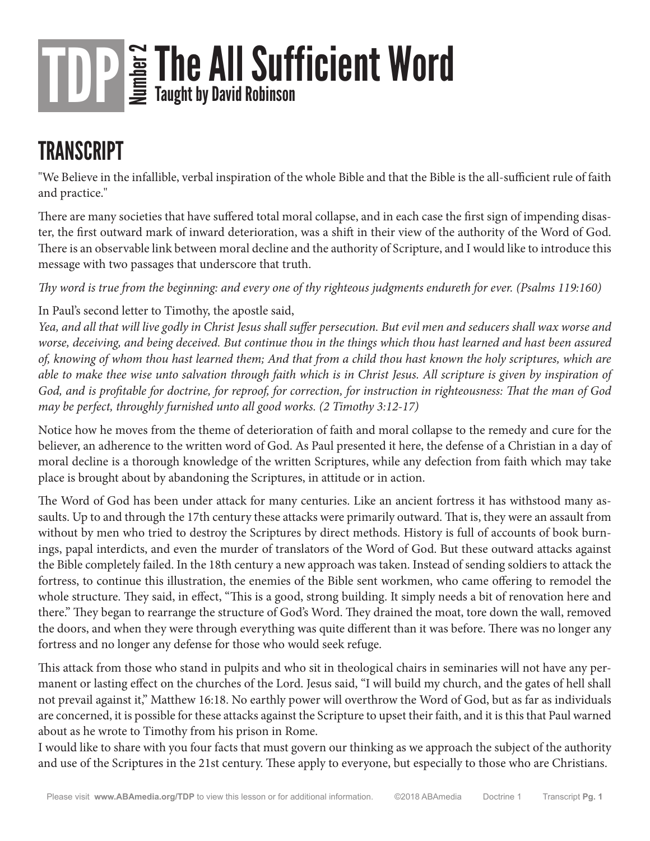#### **TRANSCRIPT**

"We Believe in the infallible, verbal inspiration of the whole Bible and that the Bible is the all-sufficient rule of faith and practice."

There are many societies that have suffered total moral collapse, and in each case the first sign of impending disaster, the first outward mark of inward deterioration, was a shift in their view of the authority of the Word of God. There is an observable link between moral decline and the authority of Scripture, and I would like to introduce this message with two passages that underscore that truth.

*Thy word is true from the beginning: and every one of thy righteous judgments endureth for ever. (Psalms 119:160)*

In Paul's second letter to Timothy, the apostle said,

*Yea, and all that will live godly in Christ Jesus shall suffer persecution. But evil men and seducers shall wax worse and worse, deceiving, and being deceived. But continue thou in the things which thou hast learned and hast been assured of, knowing of whom thou hast learned them; And that from a child thou hast known the holy scriptures, which are able to make thee wise unto salvation through faith which is in Christ Jesus. All scripture is given by inspiration of God, and is profitable for doctrine, for reproof, for correction, for instruction in righteousness: That the man of God may be perfect, throughly furnished unto all good works. (2 Timothy 3:12-17)*

Notice how he moves from the theme of deterioration of faith and moral collapse to the remedy and cure for the believer, an adherence to the written word of God. As Paul presented it here, the defense of a Christian in a day of moral decline is a thorough knowledge of the written Scriptures, while any defection from faith which may take place is brought about by abandoning the Scriptures, in attitude or in action.

The Word of God has been under attack for many centuries. Like an ancient fortress it has withstood many assaults. Up to and through the 17th century these attacks were primarily outward. That is, they were an assault from without by men who tried to destroy the Scriptures by direct methods. History is full of accounts of book burnings, papal interdicts, and even the murder of translators of the Word of God. But these outward attacks against the Bible completely failed. In the 18th century a new approach was taken. Instead of sending soldiers to attack the fortress, to continue this illustration, the enemies of the Bible sent workmen, who came offering to remodel the whole structure. They said, in effect, "This is a good, strong building. It simply needs a bit of renovation here and there." They began to rearrange the structure of God's Word. They drained the moat, tore down the wall, removed the doors, and when they were through everything was quite different than it was before. There was no longer any fortress and no longer any defense for those who would seek refuge.

This attack from those who stand in pulpits and who sit in theological chairs in seminaries will not have any permanent or lasting effect on the churches of the Lord. Jesus said, "I will build my church, and the gates of hell shall not prevail against it," Matthew 16:18. No earthly power will overthrow the Word of God, but as far as individuals are concerned, it is possible for these attacks against the Scripture to upset their faith, and it is this that Paul warned about as he wrote to Timothy from his prison in Rome.

I would like to share with you four facts that must govern our thinking as we approach the subject of the authority and use of the Scriptures in the 21st century. These apply to everyone, but especially to those who are Christians.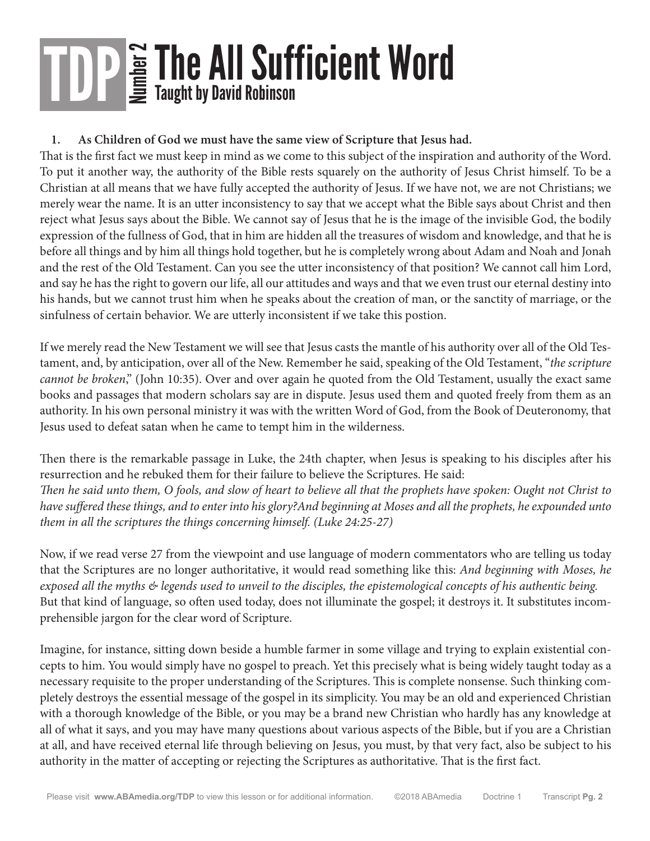#### **1. As Children of God we must have the same view of Scripture that Jesus had.**

That is the first fact we must keep in mind as we come to this subject of the inspiration and authority of the Word. To put it another way, the authority of the Bible rests squarely on the authority of Jesus Christ himself. To be a Christian at all means that we have fully accepted the authority of Jesus. If we have not, we are not Christians; we merely wear the name. It is an utter inconsistency to say that we accept what the Bible says about Christ and then reject what Jesus says about the Bible. We cannot say of Jesus that he is the image of the invisible God, the bodily expression of the fullness of God, that in him are hidden all the treasures of wisdom and knowledge, and that he is before all things and by him all things hold together, but he is completely wrong about Adam and Noah and Jonah and the rest of the Old Testament. Can you see the utter inconsistency of that position? We cannot call him Lord, and say he has the right to govern our life, all our attitudes and ways and that we even trust our eternal destiny into his hands, but we cannot trust him when he speaks about the creation of man, or the sanctity of marriage, or the sinfulness of certain behavior. We are utterly inconsistent if we take this postion.

If we merely read the New Testament we will see that Jesus casts the mantle of his authority over all of the Old Testament, and, by anticipation, over all of the New. Remember he said, speaking of the Old Testament, "*the scripture cannot be broken*," (John 10:35). Over and over again he quoted from the Old Testament, usually the exact same books and passages that modern scholars say are in dispute. Jesus used them and quoted freely from them as an authority. In his own personal ministry it was with the written Word of God, from the Book of Deuteronomy, that Jesus used to defeat satan when he came to tempt him in the wilderness.

Then there is the remarkable passage in Luke, the 24th chapter, when Jesus is speaking to his disciples after his resurrection and he rebuked them for their failure to believe the Scriptures. He said: *Then he said unto them, O fools, and slow of heart to believe all that the prophets have spoken: Ought not Christ to have suffered these things, and to enter into his glory?And beginning at Moses and all the prophets, he expounded unto them in all the scriptures the things concerning himself. (Luke 24:25-27)*

Now, if we read verse 27 from the viewpoint and use language of modern commentators who are telling us today that the Scriptures are no longer authoritative, it would read something like this: *And beginning with Moses, he exposed all the myths & legends used to unveil to the disciples, the epistemological concepts of his authentic being.* But that kind of language, so often used today, does not illuminate the gospel; it destroys it. It substitutes incomprehensible jargon for the clear word of Scripture.

Imagine, for instance, sitting down beside a humble farmer in some village and trying to explain existential concepts to him. You would simply have no gospel to preach. Yet this precisely what is being widely taught today as a necessary requisite to the proper understanding of the Scriptures. This is complete nonsense. Such thinking completely destroys the essential message of the gospel in its simplicity. You may be an old and experienced Christian with a thorough knowledge of the Bible, or you may be a brand new Christian who hardly has any knowledge at all of what it says, and you may have many questions about various aspects of the Bible, but if you are a Christian at all, and have received eternal life through believing on Jesus, you must, by that very fact, also be subject to his authority in the matter of accepting or rejecting the Scriptures as authoritative. That is the first fact.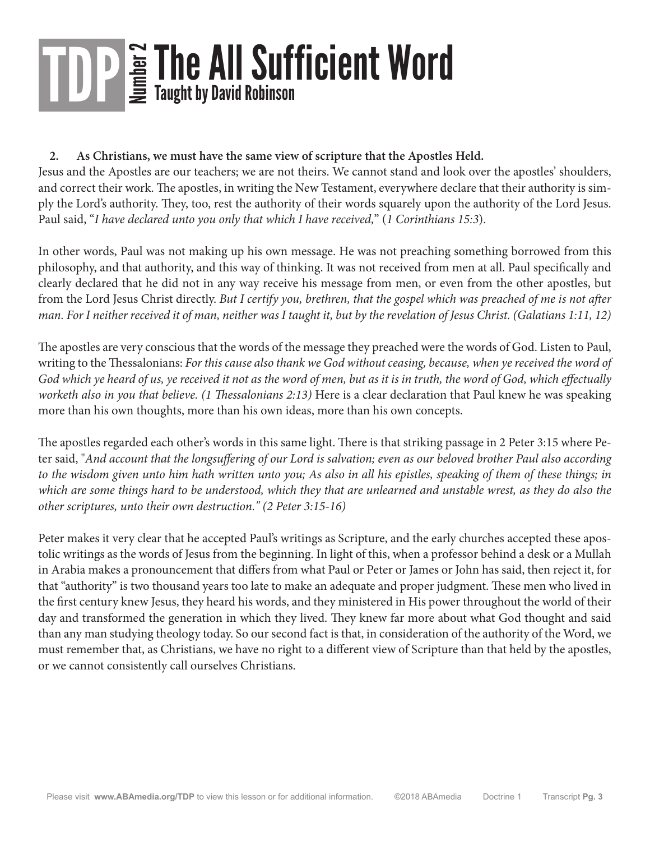#### **2. As Christians, we must have the same view of scripture that the Apostles Held.**

Jesus and the Apostles are our teachers; we are not theirs. We cannot stand and look over the apostles' shoulders, and correct their work. The apostles, in writing the New Testament, everywhere declare that their authority is simply the Lord's authority. They, too, rest the authority of their words squarely upon the authority of the Lord Jesus. Paul said, "*I have declared unto you only that which I have received,*" (*1 Corinthians 15:3*).

In other words, Paul was not making up his own message. He was not preaching something borrowed from this philosophy, and that authority, and this way of thinking. It was not received from men at all. Paul specifically and clearly declared that he did not in any way receive his message from men, or even from the other apostles, but from the Lord Jesus Christ directly. *But I certify you, brethren, that the gospel which was preached of me is not after man. For I neither received it of man, neither was I taught it, but by the revelation of Jesus Christ. (Galatians 1:11, 12)*

The apostles are very conscious that the words of the message they preached were the words of God. Listen to Paul, writing to the Thessalonians: *For this cause also thank we God without ceasing, because, when ye received the word of God which ye heard of us, ye received it not as the word of men, but as it is in truth, the word of God, which effectually worketh also in you that believe. (1 Thessalonians 2:13)* Here is a clear declaration that Paul knew he was speaking more than his own thoughts, more than his own ideas, more than his own concepts.

The apostles regarded each other's words in this same light. There is that striking passage in 2 Peter 3:15 where Peter said, "*And account that the longsuffering of our Lord is salvation; even as our beloved brother Paul also according to the wisdom given unto him hath written unto you; As also in all his epistles, speaking of them of these things; in which are some things hard to be understood, which they that are unlearned and unstable wrest, as they do also the other scriptures, unto their own destruction." (2 Peter 3:15-16)*

Peter makes it very clear that he accepted Paul's writings as Scripture, and the early churches accepted these apostolic writings as the words of Jesus from the beginning. In light of this, when a professor behind a desk or a Mullah in Arabia makes a pronouncement that differs from what Paul or Peter or James or John has said, then reject it, for that "authority" is two thousand years too late to make an adequate and proper judgment. These men who lived in the first century knew Jesus, they heard his words, and they ministered in His power throughout the world of their day and transformed the generation in which they lived. They knew far more about what God thought and said than any man studying theology today. So our second fact is that, in consideration of the authority of the Word, we must remember that, as Christians, we have no right to a different view of Scripture than that held by the apostles, or we cannot consistently call ourselves Christians.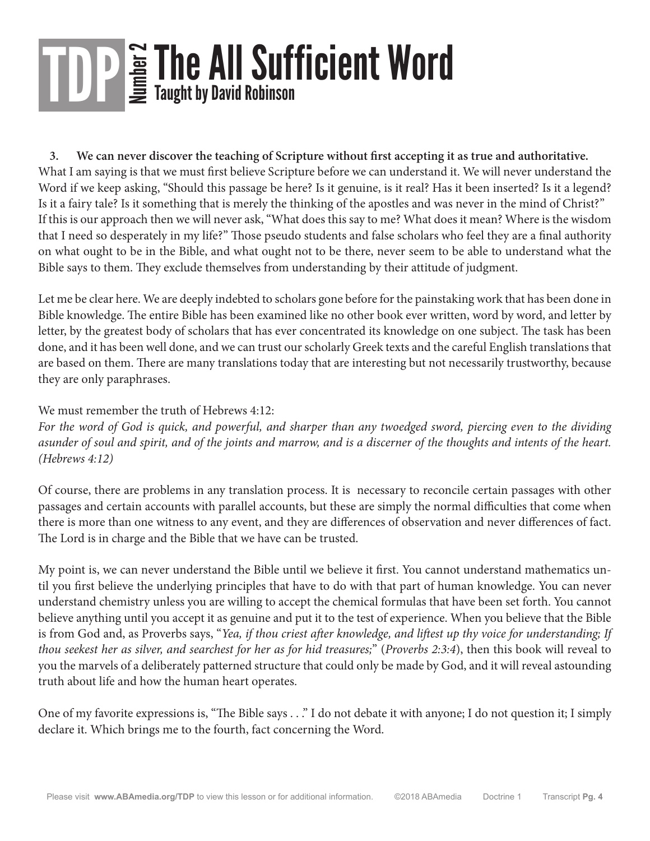**3. We can never discover the teaching of Scripture without first accepting it as true and authoritative.**  What I am saying is that we must first believe Scripture before we can understand it. We will never understand the Word if we keep asking, "Should this passage be here? Is it genuine, is it real? Has it been inserted? Is it a legend? Is it a fairy tale? Is it something that is merely the thinking of the apostles and was never in the mind of Christ?" If this is our approach then we will never ask, "What does this say to me? What does it mean? Where is the wisdom that I need so desperately in my life?" Those pseudo students and false scholars who feel they are a final authority on what ought to be in the Bible, and what ought not to be there, never seem to be able to understand what the Bible says to them. They exclude themselves from understanding by their attitude of judgment.

Let me be clear here. We are deeply indebted to scholars gone before for the painstaking work that has been done in Bible knowledge. The entire Bible has been examined like no other book ever written, word by word, and letter by letter, by the greatest body of scholars that has ever concentrated its knowledge on one subject. The task has been done, and it has been well done, and we can trust our scholarly Greek texts and the careful English translations that are based on them. There are many translations today that are interesting but not necessarily trustworthy, because they are only paraphrases.

#### We must remember the truth of Hebrews 4:12:

*For the word of God is quick, and powerful, and sharper than any twoedged sword, piercing even to the dividing asunder of soul and spirit, and of the joints and marrow, and is a discerner of the thoughts and intents of the heart. (Hebrews 4:12)*

Of course, there are problems in any translation process. It is necessary to reconcile certain passages with other passages and certain accounts with parallel accounts, but these are simply the normal difficulties that come when there is more than one witness to any event, and they are differences of observation and never differences of fact. The Lord is in charge and the Bible that we have can be trusted.

My point is, we can never understand the Bible until we believe it first. You cannot understand mathematics until you first believe the underlying principles that have to do with that part of human knowledge. You can never understand chemistry unless you are willing to accept the chemical formulas that have been set forth. You cannot believe anything until you accept it as genuine and put it to the test of experience. When you believe that the Bible is from God and, as Proverbs says, "*Yea, if thou criest after knowledge, and liftest up thy voice for understanding; If thou seekest her as silver, and searchest for her as for hid treasures;*" (*Proverbs 2:3:4*), then this book will reveal to you the marvels of a deliberately patterned structure that could only be made by God, and it will reveal astounding truth about life and how the human heart operates.

One of my favorite expressions is, "The Bible says . . ." I do not debate it with anyone; I do not question it; I simply declare it. Which brings me to the fourth, fact concerning the Word.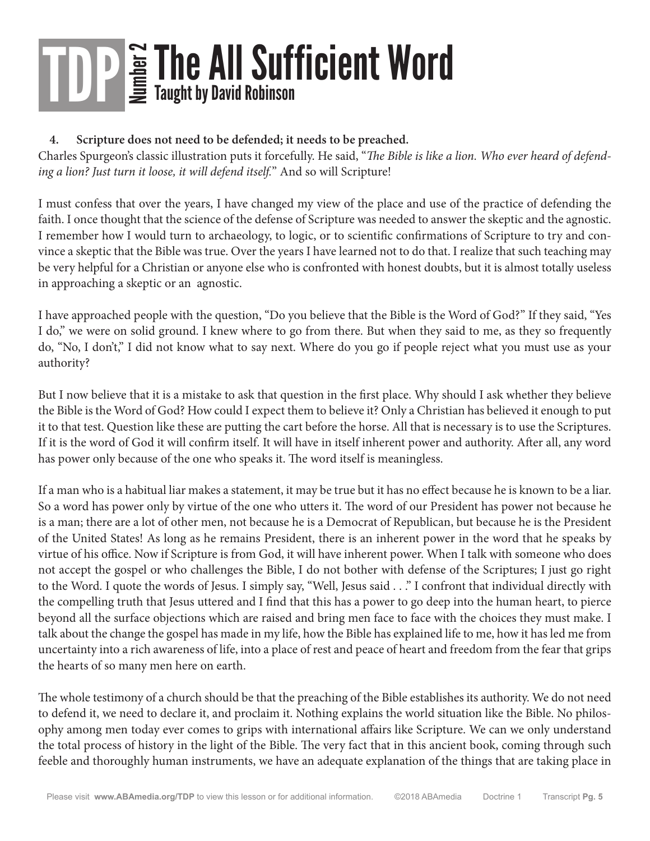#### **4. Scripture does not need to be defended; it needs to be preached.**

Charles Spurgeon's classic illustration puts it forcefully. He said, "*The Bible is like a lion. Who ever heard of defending a lion? Just turn it loose, it will defend itself.*" And so will Scripture!

I must confess that over the years, I have changed my view of the place and use of the practice of defending the faith. I once thought that the science of the defense of Scripture was needed to answer the skeptic and the agnostic. I remember how I would turn to archaeology, to logic, or to scientific confirmations of Scripture to try and convince a skeptic that the Bible was true. Over the years I have learned not to do that. I realize that such teaching may be very helpful for a Christian or anyone else who is confronted with honest doubts, but it is almost totally useless in approaching a skeptic or an agnostic.

I have approached people with the question, "Do you believe that the Bible is the Word of God?" If they said, "Yes I do," we were on solid ground. I knew where to go from there. But when they said to me, as they so frequently do, "No, I don't," I did not know what to say next. Where do you go if people reject what you must use as your authority?

But I now believe that it is a mistake to ask that question in the first place. Why should I ask whether they believe the Bible is the Word of God? How could I expect them to believe it? Only a Christian has believed it enough to put it to that test. Question like these are putting the cart before the horse. All that is necessary is to use the Scriptures. If it is the word of God it will confirm itself. It will have in itself inherent power and authority. After all, any word has power only because of the one who speaks it. The word itself is meaningless.

If a man who is a habitual liar makes a statement, it may be true but it has no effect because he is known to be a liar. So a word has power only by virtue of the one who utters it. The word of our President has power not because he is a man; there are a lot of other men, not because he is a Democrat of Republican, but because he is the President of the United States! As long as he remains President, there is an inherent power in the word that he speaks by virtue of his office. Now if Scripture is from God, it will have inherent power. When I talk with someone who does not accept the gospel or who challenges the Bible, I do not bother with defense of the Scriptures; I just go right to the Word. I quote the words of Jesus. I simply say, "Well, Jesus said . . ." I confront that individual directly with the compelling truth that Jesus uttered and I find that this has a power to go deep into the human heart, to pierce beyond all the surface objections which are raised and bring men face to face with the choices they must make. I talk about the change the gospel has made in my life, how the Bible has explained life to me, how it has led me from uncertainty into a rich awareness of life, into a place of rest and peace of heart and freedom from the fear that grips the hearts of so many men here on earth.

The whole testimony of a church should be that the preaching of the Bible establishes its authority. We do not need to defend it, we need to declare it, and proclaim it. Nothing explains the world situation like the Bible. No philosophy among men today ever comes to grips with international affairs like Scripture. We can we only understand the total process of history in the light of the Bible. The very fact that in this ancient book, coming through such feeble and thoroughly human instruments, we have an adequate explanation of the things that are taking place in